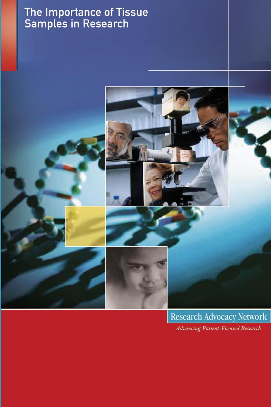# The Importance of Tissue<br>Samples in Research



Research Advocacy Network **Advancing Patient-Focused Research**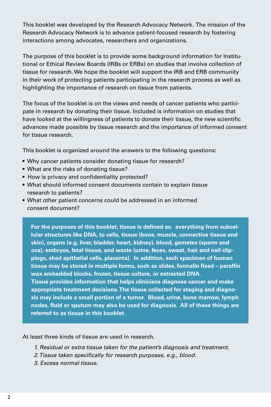This booklet was developed by the Research Advocacy Network. The mission of the Research Advocacy Network is to advance patient-focused research by fostering interactions among advocates, researchers and organizations.

The purpose of this booklet is to provide some background information for Institutional or Ethical Review Boards (IRBs or ERBs) on studies that involve collection of tissue for research. We hope the booklet will support the IRB and ERB community in their work of protecting patients participating in the research process as well as highlighting the importance of research on tissue from patients.

The focus of the booklet is on the views and needs of cancer patients who participate in research by donating their tissue. Included is information on studies that have looked at the willingness of patients to donate their tissue, the new scientific advances made possible by tissue research and the importance of informed consent for tissue research.

This booklet is organized around the answers to the following questions:

- Why cancer patients consider donating tissue for research?
- What are the risks of donating tissue?
- How is privacy and confidentiality protected?
- What should informed consent documents contain to explain tissue research to patients?
- What other patient concerns could be addressed in an informed consent document?

**For the purposes of this booklet, tissue is defined as: everything from subcellular structures like DNA, to cells, tissue (bone, muscle, connective tissue and skin), organs (e.g. liver, bladder, heart, kidney), blood, gametes (sperm and ova), embryos, fetal tissue, and waste (urine, feces, sweat, hair and nail clippings, shed epithelial cells, placenta). In addition, each specimen of human tissue may be stored in multiple forms, such as slides, formalin fixed – paraffin wax embedded blocks, frozen, tissue culture, or extracted DNA. Tissue provides information that helps clinicians diagnose cancer and make appropriate treatment decisions. The tissue collected for staging and diagnosis may include a small portion of a tumor. Blood, urine, bone marrow, lymph nodes, fluid or sputum may also be used for diagnosis. All of these things are referred to as tissue in this booklet.**

At least three kinds of tissue are used in research.

- *1. Residual or extra tissue taken for the patient's diagnosis and treatment.*
- *2. Tissue taken specifically for research purposes, e.g., blood.*
- *3. Excess normal tissue.*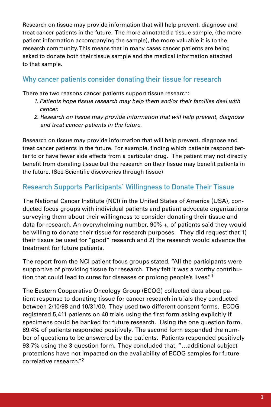Research on tissue may provide information that will help prevent, diagnose and treat cancer patients in the future. The more annotated a tissue sample, (the more patient information accompanying the sample), the more valuable it is to the research community. This means that in many cases cancer patients are being asked to donate both their tissue sample and the medical information attached to that sample.

# Why cancer patients consider donating their tissue for research

There are two reasons cancer patients support tissue research:

- *1. Patients hope tissue research may help them and/or their families deal with cancer.*
- *2. Research on tissue may provide information that will help prevent, diagnose and treat cancer patients in the future.*

Research on tissue may provide information that will help prevent, diagnose and treat cancer patients in the future. For example, finding which patients respond better to or have fewer side effects from a particular drug. The patient may not directly benefit from donating tissue but the research on their tissue may benefit patients in the future. (See Scientific discoveries through tissue)

# Research Supports Participants' Willingness to Donate Their Tissue

The National Cancer Institute (NCI) in the United States of America (USA), conducted focus groups with individual patients and patient advocate organizations surveying them about their willingness to consider donating their tissue and data for research. An overwhelming number, 90% +, of patients said they would be willing to donate their tissue for research purposes. They did request that 1) their tissue be used for "good" research and 2) the research would advance the treatment for future patients.

The report from the NCI patient focus groups stated, "All the participants were supportive of providing tissue for research. They felt it was a worthy contribution that could lead to cures for diseases or prolong people's lives."1

The Eastern Cooperative Oncology Group (ECOG) collected data about patient response to donating tissue for cancer research in trials they conducted between 2/10/98 and 10/31/00. They used two different consent forms. ECOG registered 5,411 patients on 40 trials using the first form asking explicitly if specimens could be banked for future research. Using the one question form, 89.4% of patients responded positively. The second form expanded the number of questions to be answered by the patients. Patients responded positively 93.7% using the 3-question form. They concluded that, "…additional subject protections have not impacted on the availability of ECOG samples for future correlative research."2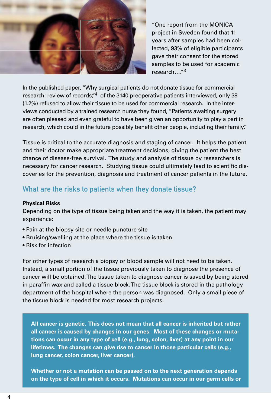

"One report from the MONICA project in Sweden found that 11 years after samples had been collected, 93% of eligible participants gave their consent for the stored samples to be used for academic research…."<sup>3</sup>

In the published paper, "Why surgical patients do not donate tissue for commercial research: review of records,"<sup>4</sup> of the 3140 preoperative patients interviewed, only 38 (1.2%) refused to allow their tissue to be used for commercial research. In the interviews conducted by a trained research nurse they found, "Patients awaiting surgery are often pleased and even grateful to have been given an opportunity to play a part in research, which could in the future possibly benefit other people, including their family."

Tissue is critical to the accurate diagnosis and staging of cancer. It helps the patient and their doctor make appropriate treatment decisions, giving the patient the best chance of disease-free survival. The study and analysis of tissue by researchers is necessary for cancer research. Studying tissue could ultimately lead to scientific discoveries for the prevention, diagnosis and treatment of cancer patients in the future.

## What are the risks to patients when they donate tissue?

#### **Physical Risks**

Depending on the type of tissue being taken and the way it is taken, the patient may experience:

- Pain at the biopsy site or needle puncture site
- Bruising/swelling at the place where the tissue is taken
- Risk for infection

For other types of research a biopsy or blood sample will not need to be taken. Instead, a small portion of the tissue previously taken to diagnose the presence of cancer will be obtained. The tissue taken to diagnose cancer is saved by being stored in paraffin wax and called a tissue block. The tissue block is stored in the pathology department of the hospital where the person was diagnosed. Only a small piece of the tissue block is needed for most research projects.

**All cancer is genetic. This does not mean that all cancer is inherited but rather all cancer is caused by changes in our genes. Most of these changes or mutations can occur in any type of cell (e.g., lung, colon, liver) at any point in our lifetimes. The changes can give rise to cancer in those particular cells (e.g., lung cancer, colon cancer, liver cancer).**

**Whether or not a mutation can be passed on to the next generation depends on the type of cell in which it occurs. Mutations can occur in our germ cells or**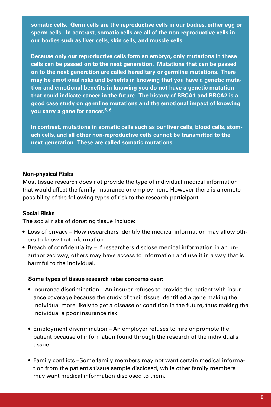**somatic cells. Germ cells are the reproductive cells in our bodies, either egg or sperm cells. In contrast, somatic cells are all of the non-reproductive cells in our bodies such as liver cells, skin cells, and muscle cells.**

**Because only our reproductive cells form an embryo, only mutations in these cells can be passed on to the next generation. Mutations that can be passed on to the next generation are called hereditary or germline mutations. There may be emotional risks and benefits in knowing that you have a genetic mutation and emotional benefits in knowing you do not have a genetic mutation that could indicate cancer in the future. The history of BRCA1 and BRCA2 is a good case study on germline mutations and the emotional impact of knowing you carry a gene for cancer.**5, 6

**In contrast, mutations in somatic cells such as our liver cells, blood cells, stomach cells, and all other non-reproductive cells cannot be transmitted to the next generation. These are called somatic mutations.**

#### **Non-physical Risks**

Most tissue research does not provide the type of individual medical information that would affect the family, insurance or employment. However there is a remote possibility of the following types of risk to the research participant.

#### **Social Risks**

The social risks of donating tissue include:

- Loss of privacy How researchers identify the medical information may allow others to know that information
- Breach of confidentiality If researchers disclose medical information in an unauthorized way, others may have access to information and use it in a way that is harmful to the individual.

#### **Some types of tissue research raise concerns over:**

- Insurance discrimination An insurer refuses to provide the patient with insurance coverage because the study of their tissue identified a gene making the individual more likely to get a disease or condition in the future, thus making the individual a poor insurance risk.
- Employment discrimination An employer refuses to hire or promote the patient because of information found through the research of the individual's tissue.
- Family conflicts –Some family members may not want certain medical information from the patient's tissue sample disclosed, while other family members may want medical information disclosed to them.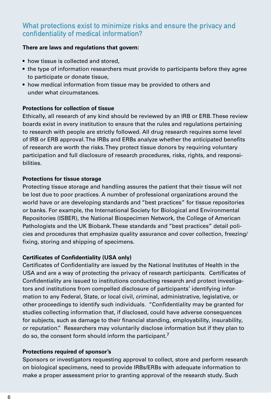## What protections exist to minimize risks and ensure the privacy and confidentiality of medical information?

#### **There are laws and regulations that govern:**

- how tissue is collected and stored,
- the type of information researchers must provide to participants before they agree to participate or donate tissue,
- how medical information from tissue may be provided to others and under what circumstances.

#### **Protections for collection of tissue**

Ethically, all research of any kind should be reviewed by an IRB or ERB. These review boards exist in every institution to ensure that the rules and regulations pertaining to research with people are strictly followed. All drug research requires some level of IRB or ERB approval. The IRBs and ERBs analyze whether the anticipated benefits of research are worth the risks. They protect tissue donors by requiring voluntary participation and full disclosure of research procedures, risks, rights, and responsibilities.

#### **Protections for tissue storage**

Protecting tissue storage and handling assures the patient that their tissue will not be lost due to poor practices. A number of professional organizations around the world have or are developing standards and "best practices" for tissue repositories or banks. For example, the International Society for Biological and Environmental Repositories (ISBER), the National Biospecimen Network, the College of American Pathologists and the UK Biobank. These standards and "best practices" detail policies and procedures that emphasize quality assurance and cover collection, freezing/ fixing, storing and shipping of specimens.

#### **Certificates of Confidentiality (USA only)**

Certificates of Confidentiality are issued by the National Institutes of Health in the USA and are a way of protecting the privacy of research participants. Certificates of Confidentiality are issued to institutions conducting research and protect investigators and institutions from compelled disclosure of participants' identifying information to any Federal, State, or local civil, criminal, administrative, legislative, or other proceedings to identify such individuals. "Confidentiality may be granted for studies collecting information that, if disclosed, could have adverse consequences for subjects, such as damage to their financial standing, employability, insurability, or reputation." Researchers may voluntarily disclose information but if they plan to do so, the consent form should inform the participant.<sup>7</sup>

#### **Protections required of sponsor's**

Sponsors or investigators requesting approval to collect, store and perform research on biological specimens, need to provide IRBs/ERBs with adequate information to make a proper assessment prior to granting approval of the research study. Such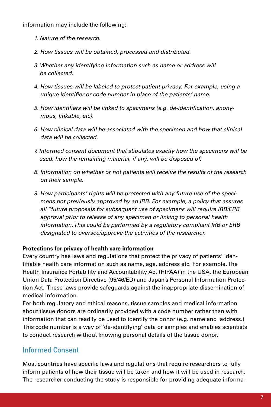information may include the following:

- *1. Nature of the research.*
- *2. How tissues will be obtained, processed and distributed.*
- *3. Whether any identifying information such as name or address will be collected.*
- *4. How tissues will be labeled to protect patient privacy. For example, using a unique identifier or code number in place of the patients' name.*
- *5. How identifiers will be linked to specimens (e.g. de-identification, anonymous, linkable, etc).*
- *6. How clinical data will be associated with the specimen and how that clinical data will be collected.*
- *7. Informed consent document that stipulates exactly how the specimens will be used, how the remaining material, if any, will be disposed of.*
- *8. Information on whether or not patients will receive the results of the research on their sample.*
- *9. How participants' rights will be protected with any future use of the specimens not previously approved by an IRB. For example, a policy that assures all "future proposals for subsequent use of specimens will require IRB/ERB approval prior to release of any specimen or linking to personal health information. This could be performed by a regulatory compliant IRB or ERB designated to oversee/approve the activities of the researcher.*

#### **Protections for privacy of health care information**

Every country has laws and regulations that protect the privacy of patients' identifiable health care information such as name, age, address etc. For example, The Health Insurance Portability and Accountability Act (HIPAA) in the USA, the European Union Data Protection Directive (95/46/ED) and Japan's Personal Information Protection Act. These laws provide safeguards against the inappropriate dissemination of medical information.

For both regulatory and ethical reasons, tissue samples and medical information about tissue donors are ordinarily provided with a code number rather than with information that can readily be used to identify the donor (e.g. name and address.) This code number is a way of 'de-identifying' data or samples and enables scientists to conduct research without knowing personal details of the tissue donor.

## Informed Consent

Most countries have specific laws and regulations that require researchers to fully inform patients of how their tissue will be taken and how it will be used in research. The researcher conducting the study is responsible for providing adequate informa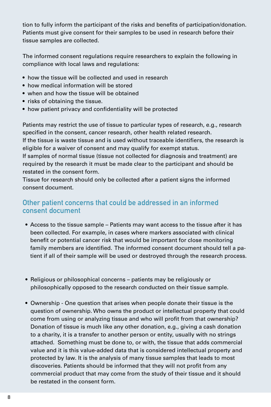tion to fully inform the participant of the risks and benefits of participation/donation. Patients must give consent for their samples to be used in research before their tissue samples are collected.

The informed consent regulations require researchers to explain the following in compliance with local laws and regulations:

- how the tissue will be collected and used in research
- how medical information will be stored
- when and how the tissue will be obtained
- risks of obtaining the tissue.
- how patient privacy and confidentiality will be protected

Patients may restrict the use of tissue to particular types of research, e.g., research specified in the consent, cancer research, other health related research.

If the tissue is waste tissue and is used without traceable identifiers, the research is eligible for a waiver of consent and may qualify for exempt status.

If samples of normal tissue (tissue not collected for diagnosis and treatment) are required by the research it must be made clear to the participant and should be restated in the consent form.

Tissue for research should only be collected after a patient signs the informed consent document.

## Other patient concerns that could be addressed in an informed consent document

- Access to the tissue sample Patients may want access to the tissue after it has been collected. For example, in cases where markers associated with clinical benefit or potential cancer risk that would be important for close monitoring family members are identified. The informed consent document should tell a patient if all of their sample will be used or destroyed through the research process.
- Religious or philosophical concerns patients may be religiously or philosophically opposed to the research conducted on their tissue sample.
- Ownership One question that arises when people donate their tissue is the question of ownership. Who owns the product or intellectual property that could come from using or analyzing tissue and who will profit from that ownership? Donation of tissue is much like any other donation, e.g., giving a cash donation to a charity, it is a transfer to another person or entity, usually with no strings attached. Something must be done to, or with, the tissue that adds commercial value and it is this value-added data that is considered intellectual property and protected by law. It is the analysis of many tissue samples that leads to most discoveries. Patients should be informed that they will not profit from any commercial product that may come from the study of their tissue and it should be restated in the consent form.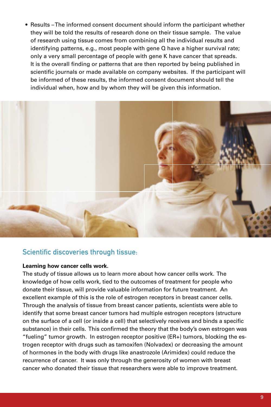• Results – The informed consent document should inform the participant whether they will be told the results of research done on their tissue sample. The value of research using tissue comes from combining all the individual results and identifying patterns, e.g., most people with gene Q have a higher survival rate; only a very small percentage of people with gene K have cancer that spreads. It is the overall finding or patterns that are then reported by being published in scientific journals or made available on company websites. If the participant will be informed of these results, the informed consent document should tell the individual when, how and by whom they will be given this information.



## Scientific discoveries through tissue:

#### **Learning how cancer cells work.**

The study of tissue allows us to learn more about how cancer cells work. The knowledge of how cells work, tied to the outcomes of treatment for people who donate their tissue, will provide valuable information for future treatment. An excellent example of this is the role of estrogen receptors in breast cancer cells. Through the analysis of tissue from breast cancer patients, scientists were able to identify that some breast cancer tumors had multiple estrogen receptors (structure on the surface of a cell (or inside a cell) that selectively receives and binds a specific substance) in their cells. This confirmed the theory that the body's own estrogen was "fueling" tumor growth. In estrogen receptor positive (ER+) tumors, blocking the estrogen receptor with drugs such as tamoxifen (Nolvadex) or decreasing the amount of hormones in the body with drugs like anastrozole (Arimidex) could reduce the recurrence of cancer. It was only through the generosity of women with breast cancer who donated their tissue that researchers were able to improve treatment.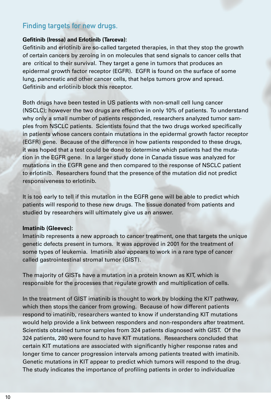# Finding targets for new drugs.

#### **Gefitinib (Iressa) and Erlotinib (Tarceva):**

Gefitinib and erlotinib are so-called targeted therapies, in that they stop the growth of certain cancers by zeroing in on molecules that send signals to cancer cells that are critical to their survival. They target a gene in tumors that produces an epidermal growth factor receptor (EGFR). EGFR is found on the surface of some lung, pancreatic and other cancer cells, that helps tumors grow and spread. Gefitinib and erlotinib block this receptor.

Both drugs have been tested in US patients with non-small cell lung cancer (NSCLC); however the two drugs are effective in only 10% of patients. To understand why only a small number of patients responded, researchers analyzed tumor samples from NSCLC patients. Scientists found that the two drugs worked specifically in patients whose cancers contain mutations in the epidermal growth factor receptor (EGFR) gene. Because of the difference in how patients responded to these drugs, it was hoped that a test could be done to determine which patients had the mutation in the EGFR gene. In a larger study done in Canada tissue was analyzed for mutations in the EGFR gene and then compared to the response of NSCLC patient to erlotinib. Researchers found that the presence of the mutation did not predict responsiveness to erlotinib.

It is too early to tell if this mutation in the EGFR gene will be able to predict which patients will respond to these new drugs. The tissue donated from patients and studied by researchers will ultimately give us an answer.

#### **Imatinib (Gleevec):**

Imatinib represents a new approach to cancer treatment, one that targets the unique genetic defects present in tumors. It was approved in 2001 for the treatment of some types of leukemia. Imatinib also appears to work in a rare type of cancer called gastrointestinal stromal tumor (GIST).

The majority of GISTs have a mutation in a protein known as KIT, which is responsible for the processes that regulate growth and multiplication of cells.

In the treatment of GIST imatinib is thought to work by blocking the KIT pathway, which then stops the cancer from growing. Because of how different patients respond to imatinib, researchers wanted to know if understanding KIT mutations would help provide a link between responders and non-responders after treatment. Scientists obtained tumor samples from 324 patients diagnosed with GIST. Of the 324 patients, 280 were found to have KIT mutations. Researchers concluded that certain KIT mutations are associated with significantly higher response rates and longer time to cancer progression intervals among patients treated with imatinib. Genetic mutations in KIT appear to predict which tumors will respond to the drug. The study indicates the importance of profiling patients in order to individualize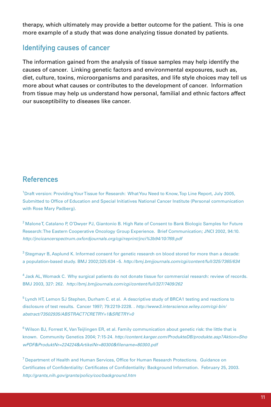therapy, which ultimately may provide a better outcome for the patient. This is one more example of a study that was done analyzing tissue donated by patients.

## Identifying causes of cancer

The information gained from the analysis of tissue samples may help identify the causes of cancer. Linking genetic factors and environmental exposures, such as, diet, culture, toxins, microorganisms and parasites, and life style choices may tell us more about what causes or contributes to the development of cancer. Information from tissue may help us understand how personal, familial and ethnic factors affect our susceptibility to diseases like cancer.

## References

<sup>1</sup>Draft version: Providing Your Tissue for Research: What You Need to Know, Top Line Report, July 2005, Submitted to Office of Education and Special Initiatives National Cancer Institute (Personal communication with Rose Mary Padberg).

<sup>2</sup> Malone T, Catalano P, O'Dwyer PJ, Giantonio B. High Rate of Consent to Bank Biologic Samples for Future Research: The Eastern Cooperative Oncology Group Experience. Brief Communication; JNCI 2002, 94:10. *http://jncicancerspectrum.oxfordjournals.org/cgi/reprint/jnci%3b94/10/769.pdf*

<sup>3</sup> Stegmayr B, Asplund K. Informed consent for genetic research on blood stored for more than a decade: a population-based study. BMJ 2002;325:634 –5. *http://bmj.bmjjournals.com/cgi/content/full/325/7365/634*

4 Jack AL, Womack C. Why surgical patients do not donate tissue for commercial research: review of records. BMJ 2003, 327: 262. *http://bmj.bmjjournals.com/cgi/content/full/327/7409/262*

 $5$  Lynch HT, Lemon SJ Stephen, Durham C. et al. A descriptive study of BRCA1 testing and reactions to disclosure of test results. Cancer 1997; 79:2219-2228. . *http://www3.interscience.wiley.com/cgi-bin/ abstract/73502935/ABSTRACT?CRETRY=1&SRETRY=0*

 $6$  Wilson BJ, Forrest K, Van Teijlingen ER, et al. Family communication about genetic risk: the little that is known. Community Genetics 2004; 7:15-24. *http://content.karger.com/ProdukteDB/produkte.asp?Aktion=Sho wPDF&ProduktNr=224224&ArtikelNr=80300&filename=80300.pdf*

<sup>7</sup> Department of Health and Human Services, Office for Human Research Protections. Guidance on Certificates of Confidentiality: Certificates of Confidentiality: Background Information. February 25, 2003. *http://grants,nih.gov/grants/policy/coc/background.htm*